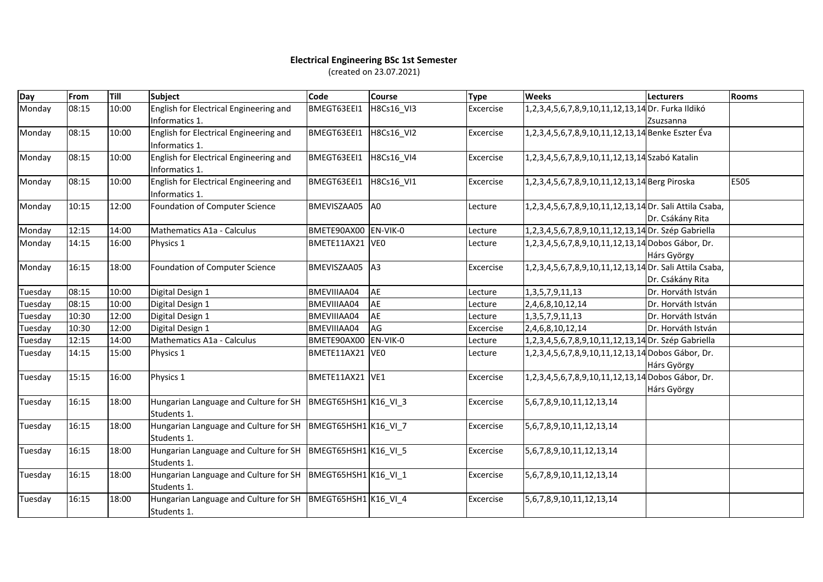## **Electrical Engineering BSc 1st Semester** (created on 23.07.2021)

| Day     | From  | Till  | <b>Subject</b>                                                              | Code                 | <b>Course</b>  | <b>Type</b> | <b>Weeks</b>                                            | <b>Lecturers</b>   | <b>Rooms</b> |
|---------|-------|-------|-----------------------------------------------------------------------------|----------------------|----------------|-------------|---------------------------------------------------------|--------------------|--------------|
| Monday  | 08:15 | 10:00 | English for Electrical Engineering and<br>Informatics 1.                    | BMEGT63EEI1          | H8Cs16_VI3     | Excercise   | 1,2,3,4,5,6,7,8,9,10,11,12,13,14 Dr. Furka Ildikó       | Zsuzsanna          |              |
| Monday  | 08:15 | 10:00 | English for Electrical Engineering and<br>Informatics 1.                    | BMEGT63EEI1          | H8Cs16 VI2     | Excercise   | 1,2,3,4,5,6,7,8,9,10,11,12,13,14 Benke Eszter Éva       |                    |              |
| Monday  | 08:15 | 10:00 | English for Electrical Engineering and<br>Informatics 1.                    | BMEGT63EEI1          | H8Cs16 VI4     | Excercise   | 1,2,3,4,5,6,7,8,9,10,11,12,13,14 Szabó Katalin          |                    |              |
| Monday  | 08:15 | 10:00 | English for Electrical Engineering and<br>Informatics 1.                    | BMEGT63EEI1          | H8Cs16 VI1     | Excercise   | 1,2,3,4,5,6,7,8,9,10,11,12,13,14 Berg Piroska           |                    | E505         |
| Monday  | 10:15 | 12:00 | Foundation of Computer Science                                              | BMEVISZAA05          | A <sub>0</sub> | Lecture     | 1,2,3,4,5,6,7,8,9,10,11,12,13,14 Dr. Sali Attila Csaba, | Dr. Csákány Rita   |              |
| Monday  | 12:15 | 14:00 | Mathematics A1a - Calculus                                                  | BMETE90AX00 EN-VIK-0 |                | Lecture     | 1,2,3,4,5,6,7,8,9,10,11,12,13,14 Dr. Szép Gabriella     |                    |              |
| Monday  | 14:15 | 16:00 | Physics 1                                                                   | BMETE11AX21 VEO      |                | Lecture     | 1,2,3,4,5,6,7,8,9,10,11,12,13,14 Dobos Gábor, Dr.       | Hárs György        |              |
| Monday  | 16:15 | 18:00 | Foundation of Computer Science                                              | BMEVISZAA05 A3       |                | Excercise   | 1,2,3,4,5,6,7,8,9,10,11,12,13,14 Dr. Sali Attila Csaba, | Dr. Csákány Rita   |              |
| Tuesday | 08:15 | 10:00 | Digital Design 1                                                            | BMEVIIIAA04          | <b>AE</b>      | Lecture     | 1, 3, 5, 7, 9, 11, 13                                   | Dr. Horváth István |              |
| Tuesday | 08:15 | 10:00 | Digital Design 1                                                            | BMEVIIIAA04          | AE             | Lecture     | 2,4,6,8,10,12,14                                        | Dr. Horváth István |              |
| Tuesday | 10:30 | 12:00 | Digital Design 1                                                            | BMEVIIIAA04          | AE             | Lecture     | 1, 3, 5, 7, 9, 11, 13                                   | Dr. Horváth István |              |
| Tuesday | 10:30 | 12:00 | Digital Design 1                                                            | BMEVIIIAA04          | AG             | Excercise   | 2,4,6,8,10,12,14                                        | Dr. Horváth István |              |
| Tuesday | 12:15 | 14:00 | Mathematics A1a - Calculus                                                  | BMETE90AX00 EN-VIK-0 |                | Lecture     | 1,2,3,4,5,6,7,8,9,10,11,12,13,14 Dr. Szép Gabriella     |                    |              |
| Tuesday | 14:15 | 15:00 | Physics 1                                                                   | BMETE11AX21 VEO      |                | Lecture     | 1,2,3,4,5,6,7,8,9,10,11,12,13,14 Dobos Gábor, Dr.       | Hárs György        |              |
| Tuesday | 15:15 | 16:00 | Physics 1                                                                   | BMETE11AX21 VE1      |                | Excercise   | 1,2,3,4,5,6,7,8,9,10,11,12,13,14 Dobos Gábor, Dr.       | Hárs György        |              |
| Tuesday | 16:15 | 18:00 | Hungarian Language and Culture for SH BMEGT65HSH1 K16 VI 3<br>Students 1.   |                      |                | Excercise   | 5,6,7,8,9,10,11,12,13,14                                |                    |              |
| Tuesday | 16:15 | 18:00 | Hungarian Language and Culture for SH BMEGT65HSH1 K16 VI 7<br>Students 1.   |                      |                | Excercise   | 5,6,7,8,9,10,11,12,13,14                                |                    |              |
| Tuesday | 16:15 | 18:00 | Hungarian Language and Culture for SH   BMEGT65HSH1 K16 VI 5<br>Students 1. |                      |                | Excercise   | 5,6,7,8,9,10,11,12,13,14                                |                    |              |
| Tuesday | 16:15 | 18:00 | Hungarian Language and Culture for SH   BMEGT65HSH1 K16 VI 1<br>Students 1. |                      |                | Excercise   | 5,6,7,8,9,10,11,12,13,14                                |                    |              |
| Tuesday | 16:15 | 18:00 | Hungarian Language and Culture for SH   BMEGT65HSH1 K16 VI 4<br>Students 1. |                      |                | Excercise   | 5, 6, 7, 8, 9, 10, 11, 12, 13, 14                       |                    |              |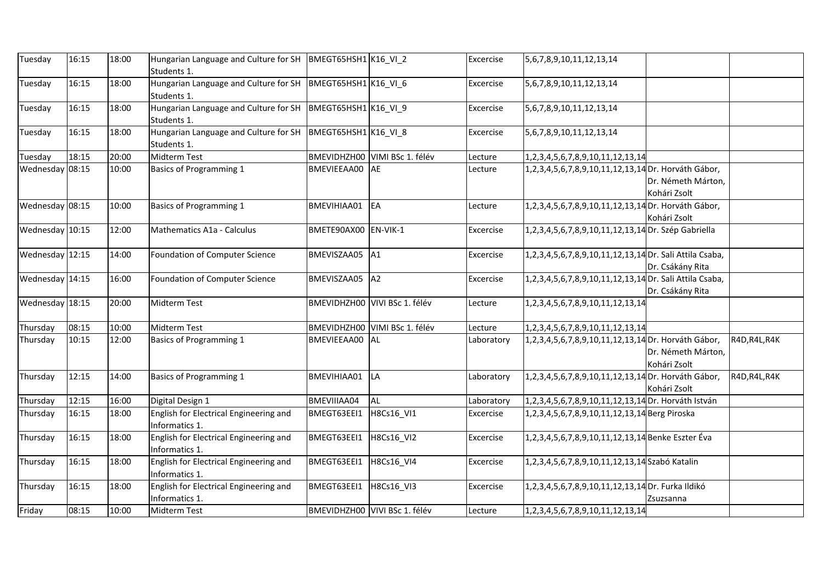| Tuesday         | 16:15 | 18:00 | Hungarian Language and Culture for SH   BMEGT65HSH1 K16 VI 2<br>Students 1.   |                        |                               | Excercise  | 5, 6, 7, 8, 9, 10, 11, 12, 13, 14                       |                                    |               |
|-----------------|-------|-------|-------------------------------------------------------------------------------|------------------------|-------------------------------|------------|---------------------------------------------------------|------------------------------------|---------------|
| Tuesday         | 16:15 | 18:00 | Hungarian Language and Culture for SH  BMEGT65HSH1 K16_VI_6<br>Students 1.    |                        |                               | Excercise  | 5, 6, 7, 8, 9, 10, 11, 12, 13, 14                       |                                    |               |
| Tuesday         | 16:15 | 18:00 | Hungarian Language and Culture for SH   BMEGT65HSH1 K16_VI_9<br>Students 1.   |                        |                               | Excercise  | 5,6,7,8,9,10,11,12,13,14                                |                                    |               |
| Tuesday         | 16:15 | 18:00 | Hungarian Language and Culture for SH   BMEGT65HSH1   K16_VI_8<br>Students 1. |                        |                               | Excercise  | 5, 6, 7, 8, 9, 10, 11, 12, 13, 14                       |                                    |               |
| Tuesday         | 18:15 | 20:00 | Midterm Test                                                                  |                        | BMEVIDHZH00 VIMI BSc 1. félév | Lecture    | 1, 2, 3, 4, 5, 6, 7, 8, 9, 10, 11, 12, 13, 14           |                                    |               |
| Wednesday 08:15 |       | 10:00 | Basics of Programming 1                                                       | BMEVIEEAA00 AE         |                               | Lecture    | 1,2,3,4,5,6,7,8,9,10,11,12,13,14 Dr. Horváth Gábor,     | Dr. Németh Márton,<br>Kohári Zsolt |               |
| Wednesday 08:15 |       | 10:00 | Basics of Programming 1                                                       | <b>BMEVIHIAA01</b>     | EA                            | Lecture    | 1,2,3,4,5,6,7,8,9,10,11,12,13,14 Dr. Horváth Gábor,     | Kohári Zsolt                       |               |
| Wednesday 10:15 |       | 12:00 | Mathematics A1a - Calculus                                                    | BMETE90AX00 EN-VIK-1   |                               | Excercise  | 1,2,3,4,5,6,7,8,9,10,11,12,13,14 Dr. Szép Gabriella     |                                    |               |
| Wednesday 12:15 |       | 14:00 | Foundation of Computer Science                                                | BMEVISZAA05 A1         |                               | Excercise  | 1,2,3,4,5,6,7,8,9,10,11,12,13,14 Dr. Sali Attila Csaba, | Dr. Csákány Rita                   |               |
| Wednesday 14:15 |       | 16:00 | Foundation of Computer Science                                                | <b>BMEVISZAA05</b>     | A2                            | Excercise  | 1,2,3,4,5,6,7,8,9,10,11,12,13,14 Dr. Sali Attila Csaba, | Dr. Csákány Rita                   |               |
| Wednesday 18:15 |       | 20:00 | Midterm Test                                                                  |                        | BMEVIDHZH00 VIVI BSc 1. félév | Lecture    | 1, 2, 3, 4, 5, 6, 7, 8, 9, 10, 11, 12, 13, 14           |                                    |               |
| Thursday        | 08:15 | 10:00 | Midterm Test                                                                  |                        | BMEVIDHZH00 VIMI BSc 1. félév | Lecture    | 1, 2, 3, 4, 5, 6, 7, 8, 9, 10, 11, 12, 13, 14           |                                    |               |
| Thursday        | 10:15 | 12:00 | <b>Basics of Programming 1</b>                                                | BMEVIEEAA00 AL         |                               | Laboratory | 1,2,3,4,5,6,7,8,9,10,11,12,13,14 Dr. Horváth Gábor,     | Dr. Németh Márton,<br>Kohári Zsolt | R4D, R4L, R4K |
| Thursday        | 12:15 | 14:00 | Basics of Programming 1                                                       | BMEVIHIAA01 LA         |                               | Laboratory | 1,2,3,4,5,6,7,8,9,10,11,12,13,14 Dr. Horváth Gábor,     | Kohári Zsolt                       | R4D, R4L, R4K |
| Thursday        | 12:15 | 16:00 | Digital Design 1                                                              | BMEVIIIAA04            | <b>AL</b>                     | Laboratory | 1,2,3,4,5,6,7,8,9,10,11,12,13,14 Dr. Horváth István     |                                    |               |
| Thursday        | 16:15 | 18:00 | English for Electrical Engineering and<br>Informatics 1.                      | BMEGT63EEI1            | H8Cs16_VI1                    | Excercise  | 1,2,3,4,5,6,7,8,9,10,11,12,13,14 Berg Piroska           |                                    |               |
| Thursday        | 16:15 | 18:00 | English for Electrical Engineering and<br>Informatics 1.                      | BMEGT63EEI1            | H8Cs16_VI2                    | Excercise  | 1,2,3,4,5,6,7,8,9,10,11,12,13,14 Benke Eszter Éva       |                                    |               |
| Thursday        | 16:15 | 18:00 | English for Electrical Engineering and<br>Informatics 1.                      | BMEGT63EEI1 H8Cs16 VI4 |                               | Excercise  | 1,2,3,4,5,6,7,8,9,10,11,12,13,14 Szabó Katalin          |                                    |               |
| Thursday        | 16:15 | 18:00 | English for Electrical Engineering and<br>Informatics 1.                      | BMEGT63EEI1 H8Cs16 VI3 |                               | Excercise  | 1,2,3,4,5,6,7,8,9,10,11,12,13,14 Dr. Furka Ildikó       | Zsuzsanna                          |               |
| Friday          | 08:15 | 10:00 | Midterm Test                                                                  |                        | BMEVIDHZH00 VIVI BSc 1. félév | Lecture    | 1, 2, 3, 4, 5, 6, 7, 8, 9, 10, 11, 12, 13, 14           |                                    |               |